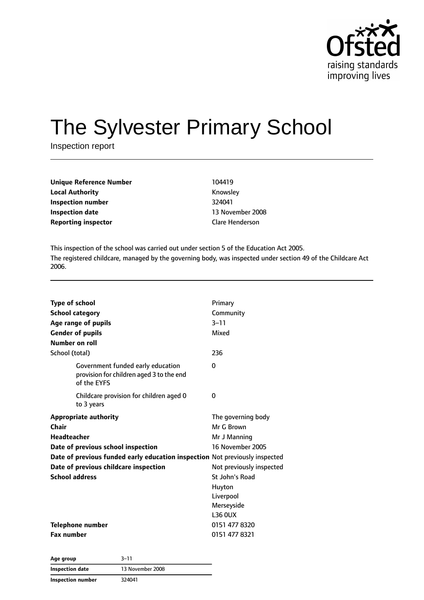

# The Sylvester Primary School

Inspection report

| <b>Unique Reference Number</b> | 104419                 |
|--------------------------------|------------------------|
| <b>Local Authority</b>         | Knowsley               |
| Inspection number              | 324041                 |
| Inspection date                | 13 November 20         |
| <b>Reporting inspector</b>     | <b>Clare Henderson</b> |

**Knowsley Inspection number** 324041 **13 November 2008** 

This inspection of the school was carried out under section 5 of the Education Act 2005. The registered childcare, managed by the governing body, was inspected under section 49 of the Childcare Act 2006.

| <b>Type of school</b>                                                                        | Primary                  |
|----------------------------------------------------------------------------------------------|--------------------------|
| <b>School category</b>                                                                       | Community                |
| Age range of pupils                                                                          | $3 - 11$                 |
| <b>Gender of pupils</b>                                                                      | Mixed                    |
| Number on roll                                                                               |                          |
| School (total)                                                                               | 236                      |
| Government funded early education<br>provision for children aged 3 to the end<br>of the EYFS | $\Omega$                 |
| Childcare provision for children aged 0<br>to 3 years                                        | 0                        |
| <b>Appropriate authority</b>                                                                 | The governing body       |
| Chair                                                                                        | Mr G Brown               |
| <b>Headteacher</b>                                                                           | Mr J Manning             |
| Date of previous school inspection                                                           | 16 November 2005         |
| Date of previous funded early education inspection Not previously inspected                  |                          |
| Date of previous childcare inspection                                                        | Not previously inspected |
| <b>School address</b>                                                                        | St John's Road           |
|                                                                                              | Huyton                   |
|                                                                                              | Liverpool                |
|                                                                                              | Merseyside               |
|                                                                                              | <b>L36 OUX</b>           |
| Telephone number                                                                             | 0151 477 8320            |
| <b>Fax number</b>                                                                            | 0151 477 8321            |

| Age group         | $3 - 11$         |  |
|-------------------|------------------|--|
| Inspection date   | 13 November 2008 |  |
| Inspection number | 324041           |  |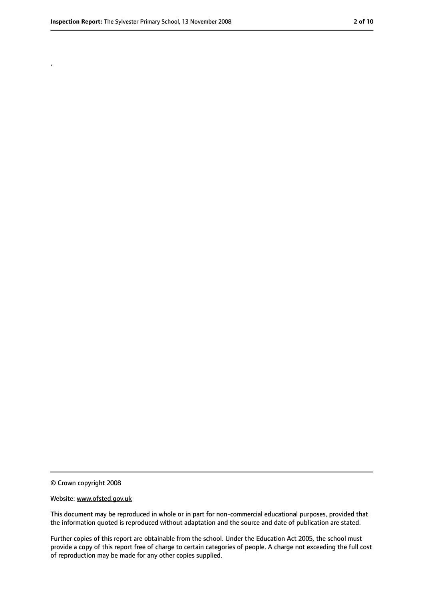.

<sup>©</sup> Crown copyright 2008

Website: www.ofsted.gov.uk

This document may be reproduced in whole or in part for non-commercial educational purposes, provided that the information quoted is reproduced without adaptation and the source and date of publication are stated.

Further copies of this report are obtainable from the school. Under the Education Act 2005, the school must provide a copy of this report free of charge to certain categories of people. A charge not exceeding the full cost of reproduction may be made for any other copies supplied.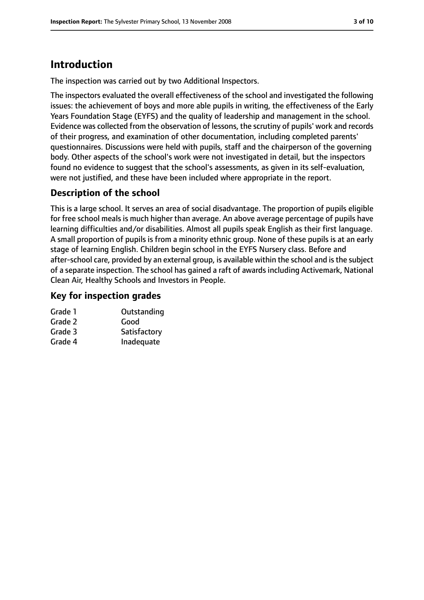## **Introduction**

The inspection was carried out by two Additional Inspectors.

The inspectors evaluated the overall effectiveness of the school and investigated the following issues: the achievement of boys and more able pupils in writing, the effectiveness of the Early Years Foundation Stage (EYFS) and the quality of leadership and management in the school. Evidence was collected from the observation of lessons, the scrutiny of pupils' work and records of their progress, and examination of other documentation, including completed parents' questionnaires. Discussions were held with pupils, staff and the chairperson of the governing body. Other aspects of the school's work were not investigated in detail, but the inspectors found no evidence to suggest that the school's assessments, as given in its self-evaluation, were not justified, and these have been included where appropriate in the report.

#### **Description of the school**

This is a large school. It serves an area of social disadvantage. The proportion of pupils eligible for free school meals is much higher than average. An above average percentage of pupils have learning difficulties and/or disabilities. Almost all pupils speak English as their first language. A small proportion of pupils is from a minority ethnic group. None of these pupils is at an early stage of learning English. Children begin school in the EYFS Nursery class. Before and after-school care, provided by an external group, is available within the school and is the subject of a separate inspection. The school has gained a raft of awards including Activemark, National Clean Air, Healthy Schools and Investors in People.

#### **Key for inspection grades**

| Grade 1 | Outstanding  |
|---------|--------------|
| Grade 2 | Good         |
| Grade 3 | Satisfactory |
| Grade 4 | Inadequate   |
|         |              |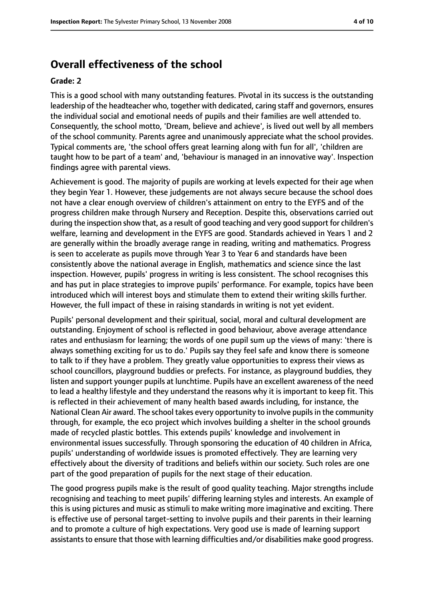## **Overall effectiveness of the school**

#### **Grade: 2**

This is a good school with many outstanding features. Pivotal in its success is the outstanding leadership of the headteacher who, together with dedicated, caring staff and governors, ensures the individual social and emotional needs of pupils and their families are well attended to. Consequently, the school motto, 'Dream, believe and achieve', is lived out well by all members of the school community. Parents agree and unanimously appreciate what the school provides. Typical comments are, 'the school offers great learning along with fun for all', 'children are taught how to be part of a team' and, 'behaviour is managed in an innovative way'. Inspection findings agree with parental views.

Achievement is good. The majority of pupils are working at levels expected for their age when they begin Year 1. However, these judgements are not always secure because the school does not have a clear enough overview of children's attainment on entry to the EYFS and of the progress children make through Nursery and Reception. Despite this, observations carried out during the inspection show that, as a result of good teaching and very good support for children's welfare, learning and development in the EYFS are good. Standards achieved in Years 1 and 2 are generally within the broadly average range in reading, writing and mathematics. Progress is seen to accelerate as pupils move through Year 3 to Year 6 and standards have been consistently above the national average in English, mathematics and science since the last inspection. However, pupils' progress in writing is less consistent. The school recognises this and has put in place strategies to improve pupils' performance. For example, topics have been introduced which will interest boys and stimulate them to extend their writing skills further. However, the full impact of these in raising standards in writing is not yet evident.

Pupils' personal development and their spiritual, social, moral and cultural development are outstanding. Enjoyment of school is reflected in good behaviour, above average attendance rates and enthusiasm for learning; the words of one pupil sum up the views of many: 'there is always something exciting for us to do.' Pupils say they feel safe and know there is someone to talk to if they have a problem. They greatly value opportunities to express their views as school councillors, playground buddies or prefects. For instance, as playground buddies, they listen and support younger pupils at lunchtime. Pupils have an excellent awareness of the need to lead a healthy lifestyle and they understand the reasons why it is important to keep fit. This is reflected in their achievement of many health based awards including, for instance, the National Clean Air award. The school takes every opportunity to involve pupils in the community through, for example, the eco project which involves building a shelter in the school grounds made of recycled plastic bottles. This extends pupils' knowledge and involvement in environmental issues successfully. Through sponsoring the education of 40 children in Africa, pupils' understanding of worldwide issues is promoted effectively. They are learning very effectively about the diversity of traditions and beliefs within our society. Such roles are one part of the good preparation of pupils for the next stage of their education.

The good progress pupils make is the result of good quality teaching. Major strengths include recognising and teaching to meet pupils' differing learning styles and interests. An example of this is using pictures and music as stimuli to make writing more imaginative and exciting. There is effective use of personal target-setting to involve pupils and their parents in their learning and to promote a culture of high expectations. Very good use is made of learning support assistants to ensure that those with learning difficulties and/or disabilities make good progress.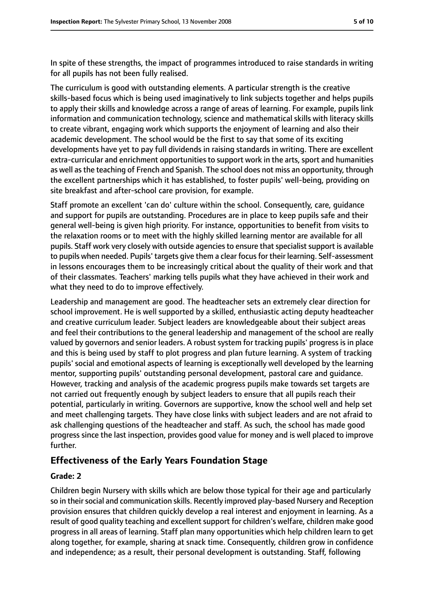In spite of these strengths, the impact of programmes introduced to raise standards in writing for all pupils has not been fully realised.

The curriculum is good with outstanding elements. A particular strength is the creative skills-based focus which is being used imaginatively to link subjects together and helps pupils to apply their skills and knowledge across a range of areas of learning. For example, pupils link information and communication technology, science and mathematical skills with literacy skills to create vibrant, engaging work which supports the enjoyment of learning and also their academic development. The school would be the first to say that some of its exciting developments have yet to pay full dividends in raising standards in writing. There are excellent extra-curricular and enrichment opportunities to support work in the arts, sport and humanities as well asthe teaching of French and Spanish. The school does not miss an opportunity, through the excellent partnerships which it has established, to foster pupils' well-being, providing on site breakfast and after-school care provision, for example.

Staff promote an excellent 'can do' culture within the school. Consequently, care, guidance and support for pupils are outstanding. Procedures are in place to keep pupils safe and their general well-being is given high priority. For instance, opportunities to benefit from visits to the relaxation rooms or to meet with the highly skilled learning mentor are available for all pupils. Staff work very closely with outside agencies to ensure that specialist support is available to pupils when needed. Pupils' targets give them a clear focus for their learning. Self-assessment in lessons encourages them to be increasingly critical about the quality of their work and that of their classmates. Teachers' marking tells pupils what they have achieved in their work and what they need to do to improve effectively.

Leadership and management are good. The headteacher sets an extremely clear direction for school improvement. He is well supported by a skilled, enthusiastic acting deputy headteacher and creative curriculum leader. Subject leaders are knowledgeable about their subject areas and feel their contributions to the general leadership and management of the school are really valued by governors and senior leaders. A robust system for tracking pupils' progress is in place and this is being used by staff to plot progress and plan future learning. A system of tracking pupils' social and emotional aspects of learning is exceptionally well developed by the learning mentor, supporting pupils' outstanding personal development, pastoral care and guidance. However, tracking and analysis of the academic progress pupils make towards set targets are not carried out frequently enough by subject leaders to ensure that all pupils reach their potential, particularly in writing. Governors are supportive, know the school well and help set and meet challenging targets. They have close links with subject leaders and are not afraid to ask challenging questions of the headteacher and staff. As such, the school has made good progress since the last inspection, provides good value for money and is well placed to improve further.

#### **Effectiveness of the Early Years Foundation Stage**

#### **Grade: 2**

Children begin Nursery with skills which are below those typical for their age and particularly so in their social and communication skills. Recently improved play-based Nursery and Reception provision ensures that children quickly develop a real interest and enjoyment in learning. As a result of good quality teaching and excellent support for children's welfare, children make good progress in all areas of learning. Staff plan many opportunities which help children learn to get along together, for example, sharing at snack time. Consequently, children grow in confidence and independence; as a result, their personal development is outstanding. Staff, following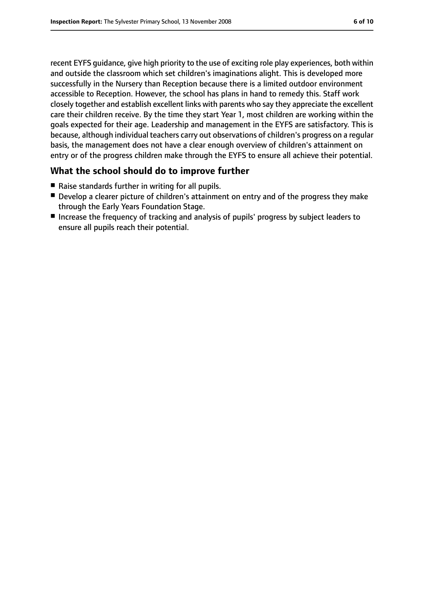recent EYFS guidance, give high priority to the use of exciting role play experiences, both within and outside the classroom which set children's imaginations alight. This is developed more successfully in the Nursery than Reception because there is a limited outdoor environment accessible to Reception. However, the school has plans in hand to remedy this. Staff work closely together and establish excellent links with parents who say they appreciate the excellent care their children receive. By the time they start Year 1, most children are working within the goals expected for their age. Leadership and management in the EYFS are satisfactory. This is because, although individual teachers carry out observations of children's progress on a regular basis, the management does not have a clear enough overview of children's attainment on entry or of the progress children make through the EYFS to ensure all achieve their potential.

#### **What the school should do to improve further**

- Raise standards further in writing for all pupils.
- Develop a clearer picture of children's attainment on entry and of the progress they make through the Early Years Foundation Stage.
- Increase the frequency of tracking and analysis of pupils' progress by subject leaders to ensure all pupils reach their potential.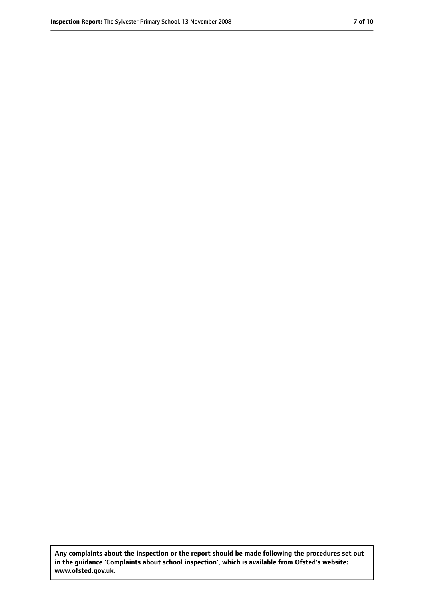**Any complaints about the inspection or the report should be made following the procedures set out in the guidance 'Complaints about school inspection', which is available from Ofsted's website: www.ofsted.gov.uk.**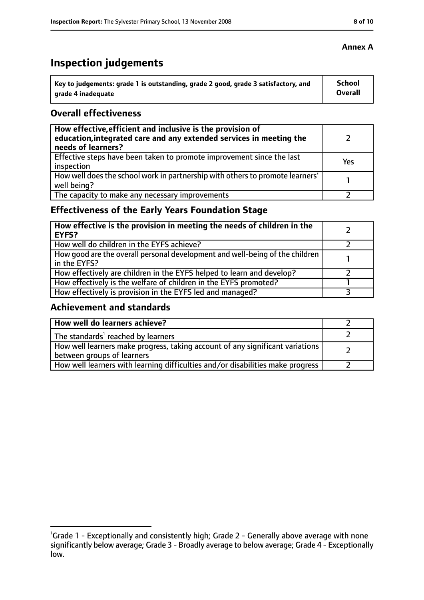# **Inspection judgements**

| Key to judgements: grade 1 is outstanding, grade 2 good, grade 3 satisfactory, and | <b>School</b>  |
|------------------------------------------------------------------------------------|----------------|
| arade 4 inadequate                                                                 | <b>Overall</b> |

#### **Overall effectiveness**

| How effective, efficient and inclusive is the provision of<br>education, integrated care and any extended services in meeting the<br>needs of learners? |     |
|---------------------------------------------------------------------------------------------------------------------------------------------------------|-----|
| Effective steps have been taken to promote improvement since the last<br>inspection                                                                     | Yes |
| How well does the school work in partnership with others to promote learners'<br>well being?                                                            |     |
| The capacity to make any necessary improvements                                                                                                         |     |

## **Effectiveness of the Early Years Foundation Stage**

| How effective is the provision in meeting the needs of children in the<br><b>EYFS?</b>       |  |
|----------------------------------------------------------------------------------------------|--|
| How well do children in the EYFS achieve?                                                    |  |
| How good are the overall personal development and well-being of the children<br>in the EYFS? |  |
| How effectively are children in the EYFS helped to learn and develop?                        |  |
| How effectively is the welfare of children in the EYFS promoted?                             |  |
| How effectively is provision in the EYFS led and managed?                                    |  |

#### **Achievement and standards**

| How well do learners achieve?                                                                               |  |
|-------------------------------------------------------------------------------------------------------------|--|
| The standards <sup>1</sup> reached by learners                                                              |  |
| How well learners make progress, taking account of any significant variations<br>between groups of learners |  |
| How well learners with learning difficulties and/or disabilities make progress                              |  |

#### **Annex A**

<sup>&</sup>lt;sup>1</sup>Grade 1 - Exceptionally and consistently high; Grade 2 - Generally above average with none significantly below average; Grade 3 - Broadly average to below average; Grade 4 - Exceptionally low.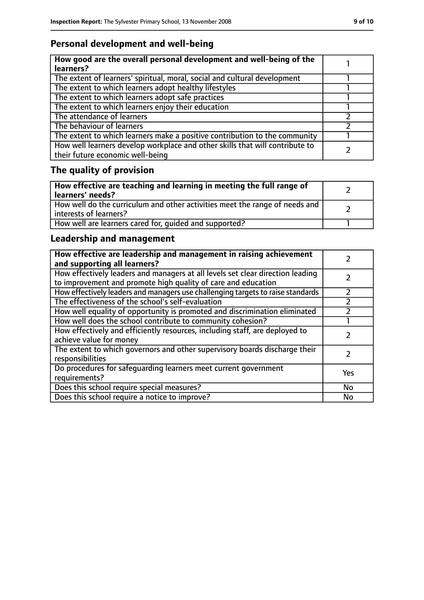## **Personal development and well-being**

| How good are the overall personal development and well-being of the<br>learners?                                 |  |
|------------------------------------------------------------------------------------------------------------------|--|
| The extent of learners' spiritual, moral, social and cultural development                                        |  |
| The extent to which learners adopt healthy lifestyles                                                            |  |
| The extent to which learners adopt safe practices                                                                |  |
| The extent to which learners enjoy their education                                                               |  |
| The attendance of learners                                                                                       |  |
| The behaviour of learners                                                                                        |  |
| The extent to which learners make a positive contribution to the community                                       |  |
| How well learners develop workplace and other skills that will contribute to<br>their future economic well-being |  |

# **The quality of provision**

| How effective are teaching and learning in meeting the full range of<br>learners' needs?              |  |
|-------------------------------------------------------------------------------------------------------|--|
| How well do the curriculum and other activities meet the range of needs and<br>interests of learners? |  |
| How well are learners cared for, quided and supported?                                                |  |

## **Leadership and management**

| How effective are leadership and management in raising achievement<br>and supporting all learners?                                              |     |
|-------------------------------------------------------------------------------------------------------------------------------------------------|-----|
| How effectively leaders and managers at all levels set clear direction leading<br>to improvement and promote high quality of care and education |     |
| How effectively leaders and managers use challenging targets to raise standards                                                                 |     |
| The effectiveness of the school's self-evaluation                                                                                               |     |
| How well equality of opportunity is promoted and discrimination eliminated                                                                      |     |
| How well does the school contribute to community cohesion?                                                                                      |     |
| How effectively and efficiently resources, including staff, are deployed to<br>achieve value for money                                          |     |
| The extent to which governors and other supervisory boards discharge their<br>responsibilities                                                  |     |
| Do procedures for safeguarding learners meet current government<br>requirements?                                                                | Yes |
| Does this school require special measures?                                                                                                      | No  |
| Does this school require a notice to improve?                                                                                                   | No  |